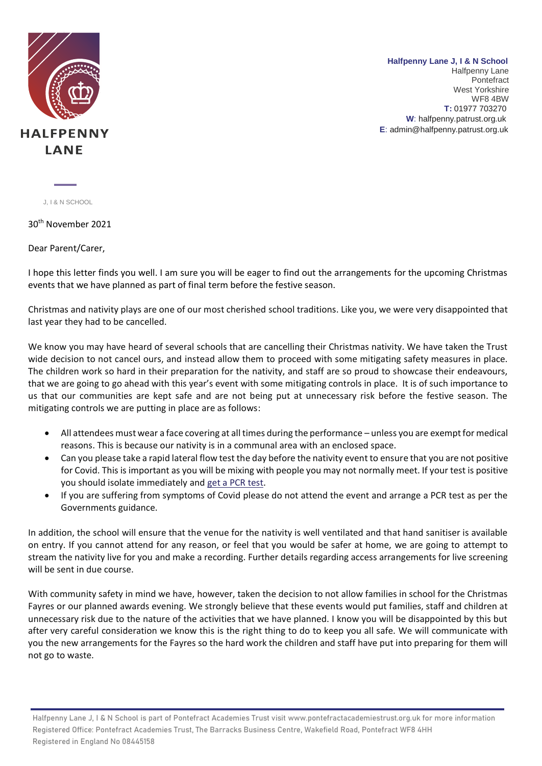

**Halfpenny Lane J, I & N School** Halfpenny Lane Pontefract West Yorkshire WF8 4BW **..T:** 01977 703270 … **W**: halfpenny.patrust.org.uk **E**: admin@halfpenny.patrust.org.uk

J, I & N SCHOOL

30th November 2021

Dear Parent/Carer,

I hope this letter finds you well. I am sure you will be eager to find out the arrangements for the upcoming Christmas events that we have planned as part of final term before the festive season.

Christmas and nativity plays are one of our most cherished school traditions. Like you, we were very disappointed that last year they had to be cancelled.

We know you may have heard of several schools that are cancelling their Christmas nativity. We have taken the Trust wide decision to not cancel ours, and instead allow them to proceed with some mitigating safety measures in place. The children work so hard in their preparation for the nativity, and staff are so proud to showcase their endeavours, that we are going to go ahead with this year's event with some mitigating controls in place. It is of such importance to us that our communities are kept safe and are not being put at unnecessary risk before the festive season. The mitigating controls we are putting in place are as follows:

- All attendees must wear a face covering at all times during the performance unless you are exempt for medical reasons. This is because our nativity is in a communal area with an enclosed space.
- Can you please take a rapid lateral flow test the day before the nativity event to ensure that you are not positive for Covid. This is important as you will be mixing with people you may not normally meet. If your test is positive you should isolate immediately and [get a PCR test.](https://www.gov.uk/get-coronavirus-test)
- If you are suffering from symptoms of Covid please do not attend the event and arrange a PCR test as per the Governments guidance.

In addition, the school will ensure that the venue for the nativity is well ventilated and that hand sanitiser is available on entry. If you cannot attend for any reason, or feel that you would be safer at home, we are going to attempt to stream the nativity live for you and make a recording. Further details regarding access arrangements for live screening will be sent in due course.

With community safety in mind we have, however, taken the decision to not allow families in school for the Christmas Fayres or our planned awards evening. We strongly believe that these events would put families, staff and children at unnecessary risk due to the nature of the activities that we have planned. I know you will be disappointed by this but after very careful consideration we know this is the right thing to do to keep you all safe. We will communicate with you the new arrangements for the Fayres so the hard work the children and staff have put into preparing for them will not go to waste.

 Halfpenny Lane J, I & N School is part of Pontefract Academies Trust visit www.pontefractacademiestrust.org.uk for more information Registered Office: Pontefract Academies Trust, The Barracks Business Centre, Wakefield Road, Pontefract WF8 4HH Registered in England No 08445158